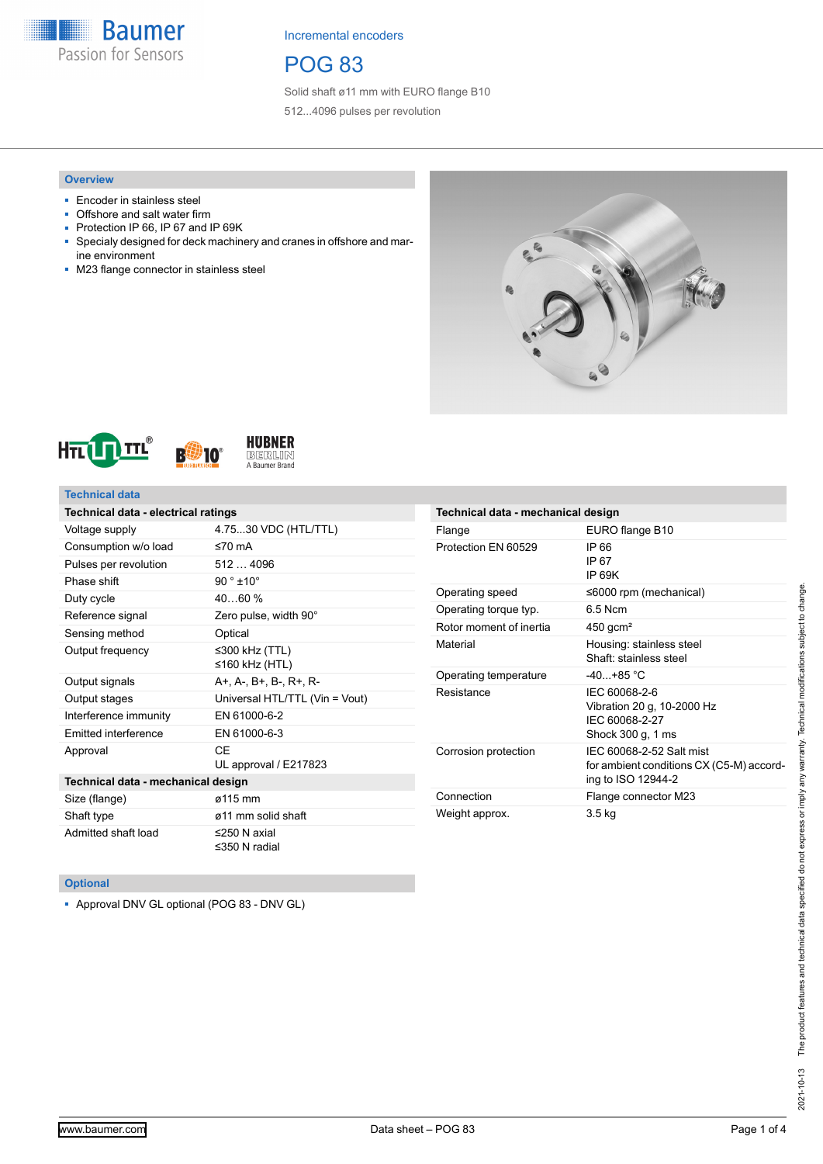

# POG 83

Solid shaft ø11 mm with EURO flange B10 512...4096 pulses per revolution

### **Overview**

- Encoder in stainless steel
- Offshore and salt water firm
- Protection IP 66, IP 67 and IP 69K
- Specialy designed for deck machinery and cranes in offshore and marine environment
- M23 flange connector in stainless steel







0

### **Technical data**

| Technical data - electrical ratings |                                     |  |  |  |  |  |
|-------------------------------------|-------------------------------------|--|--|--|--|--|
| Voltage supply                      | 4.7530 VDC (HTL/TTL)                |  |  |  |  |  |
| Consumption w/o load                | ≤70 $mA$                            |  |  |  |  |  |
| Pulses per revolution               | 5124096                             |  |  |  |  |  |
| Phase shift                         | $90°$ ±10°                          |  |  |  |  |  |
| Duty cycle                          | 4060%                               |  |  |  |  |  |
| Reference signal                    | Zero pulse, width 90°               |  |  |  |  |  |
| Sensing method                      | Optical                             |  |  |  |  |  |
| Output frequency                    | ≤300 kHz (TTL)<br>≤160 kHz (HTL)    |  |  |  |  |  |
| Output signals                      | A+, A-, B+, B-, R+, R-              |  |  |  |  |  |
| Output stages                       | Universal HTL/TTL (Vin = Vout)      |  |  |  |  |  |
| Interference immunity               | EN 61000-6-2                        |  |  |  |  |  |
| Emitted interference                | EN 61000-6-3                        |  |  |  |  |  |
| Approval                            | CF<br>UL approval / E217823         |  |  |  |  |  |
| Technical data - mechanical design  |                                     |  |  |  |  |  |
| Size (flange)                       | ø115 mm                             |  |  |  |  |  |
| Shaft type                          | ø11 mm solid shaft                  |  |  |  |  |  |
| Admitted shaft load                 | $\leq$ 250 N axial<br>≤350 N radial |  |  |  |  |  |

| Technical data - mechanical design |                                                                                            |  |  |  |  |
|------------------------------------|--------------------------------------------------------------------------------------------|--|--|--|--|
| Flange                             | EURO flange B10                                                                            |  |  |  |  |
| Protection EN 60529                | IP 66<br>IP 67<br>IP 69K                                                                   |  |  |  |  |
| Operating speed                    | $\leq 6000$ rpm (mechanical)                                                               |  |  |  |  |
| Operating torque typ.              | 6.5 Ncm                                                                                    |  |  |  |  |
| Rotor moment of inertia            | $450$ gcm <sup>2</sup>                                                                     |  |  |  |  |
| Material                           | Housing: stainless steel<br>Shaft: stainless steel                                         |  |  |  |  |
| Operating temperature              | $-40+85$ °C                                                                                |  |  |  |  |
| Resistance                         | IEC 60068-2-6<br>Vibration 20 g, 10-2000 Hz<br>IEC 60068-2-27<br>Shock 300 g, 1 ms         |  |  |  |  |
| Corrosion protection               | IEC 60068-2-52 Salt mist<br>for ambient conditions CX (C5-M) accord-<br>ing to ISO 12944-2 |  |  |  |  |
| Connection                         | Flange connector M23                                                                       |  |  |  |  |
| Weight approx.                     | 3.5 kg                                                                                     |  |  |  |  |

### **Optional**

■ Approval DNV GL optional (POG 83 - DNV GL)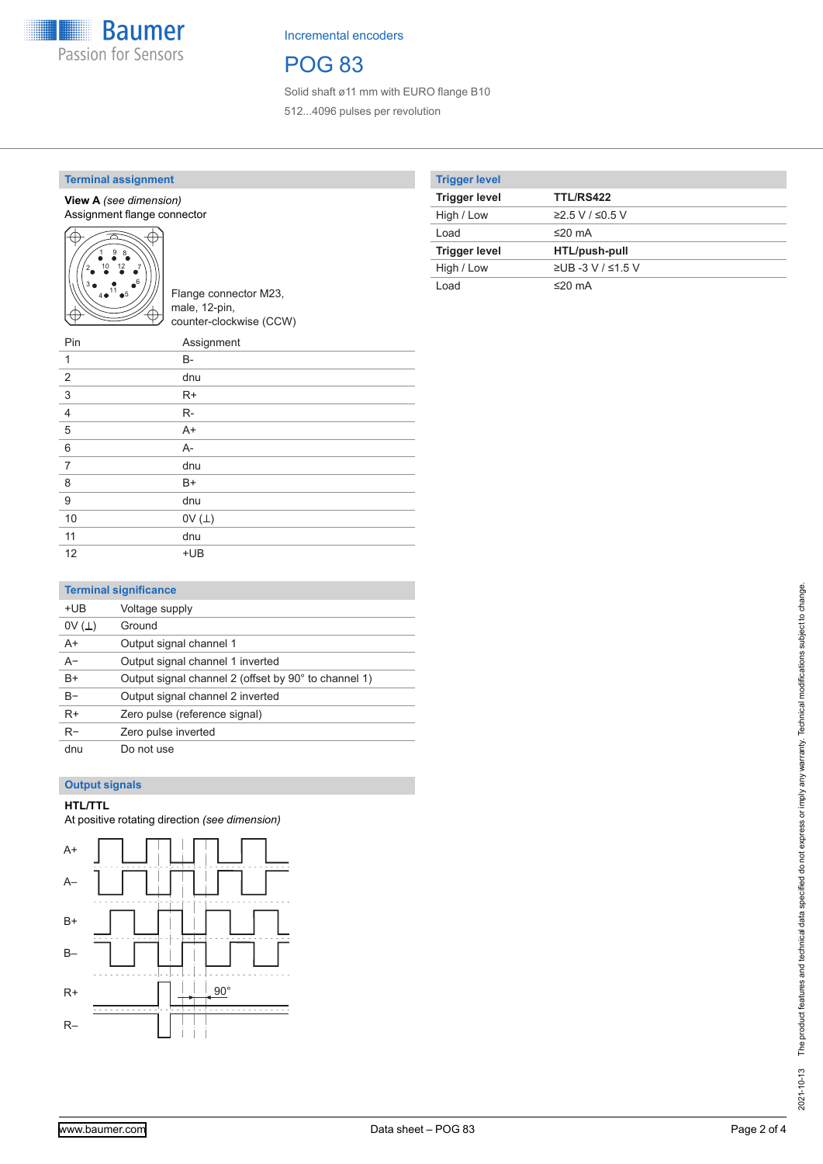

# POG 83

Solid shaft ø11 mm with EURO flange B10 512...4096 pulses per revolution

### **Terminal assignment**

#### **View A** *(see dimension)* Assignment flange connector



Flange connector M23, male, 12-pin, counter-clockwise (CCW)

| Pin            | Assignment   |
|----------------|--------------|
| 1              | $B -$        |
| $\overline{2}$ | dnu          |
| 3              | $R+$         |
| $\overline{4}$ | $R-$         |
| $\sqrt{5}$     | $A+$         |
| 6              | $A -$        |
| $\overline{7}$ | dnu          |
| 8              | $B+$         |
| 9              | dnu          |
| 10             | OV $(\perp)$ |
| 11             | dnu          |
| 12             | $+UB$        |

### **Trigger level**

| <b>III</b> yyu IVYUI |                   |
|----------------------|-------------------|
| <b>Trigger level</b> | <b>TTL/RS422</b>  |
| High / Low           | $≥2.5$ V / ≤0.5 V |
| Load                 | ≤20 mA            |
| <b>Trigger level</b> | HTL/push-pull     |
| High / Low           | ≥UB -3 V / ≤1.5 V |
| Load                 | ≤20 mA            |

### **Terminal significance**

| +UB   | Voltage supply                                       |
|-------|------------------------------------------------------|
| 0V(L) | Ground                                               |
| $A+$  | Output signal channel 1                              |
| $A -$ | Output signal channel 1 inverted                     |
| $B+$  | Output signal channel 2 (offset by 90° to channel 1) |
| $B -$ | Output signal channel 2 inverted                     |
| $R+$  | Zero pulse (reference signal)                        |
| $R-$  | Zero pulse inverted                                  |
| dnu   | Do not use                                           |

### **Output signals**

#### **HTL/TTL**

At positive rotating direction *(see dimension)*

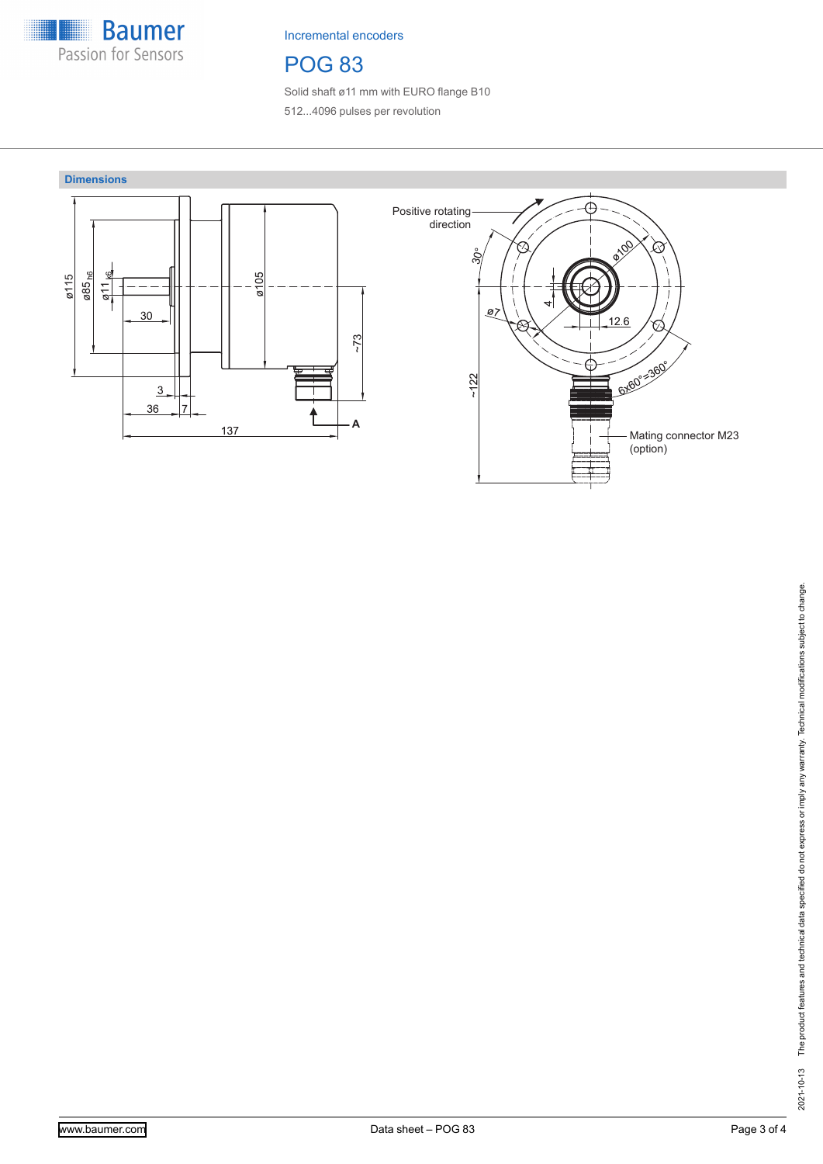

# POG 83

Solid shaft ø11 mm with EURO flange B10 512...4096 pulses per revolution